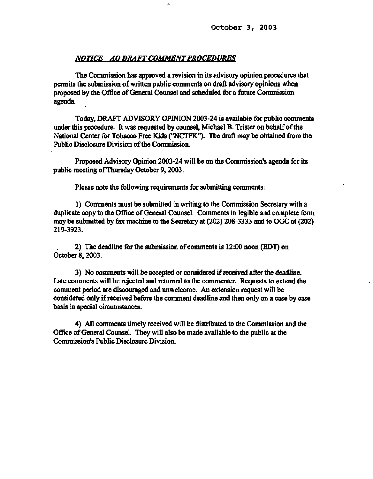### *NOTICE AO DRAFT COMMENT PROCEDURES*

**The Commission has approved a revision in its advisory opinion procedures that permits the submission of written public comments on draft advisory opinions when proposed by the Office of General Counsel and scheduled for a future Commission agenda.** 

**Today, DRAFT ADVISORY OPINION 2003-24 is available for public comments under this procedure. It was requested by counsel, Michael B. Trister on behalf of the National Center for Tobacco Free Kids ("NCTFK"). The draft may be obtained from the Public Disclosure Division of the Commission.** 

**Proposed Advisory Opinion 2003-24 will be on the Commission's agenda for its public meeting of Thursday October 9,2003.** 

**Please note the following requirements for submitting comments:** 

**1) Comments must be submitted in writing to the Commission Secretary with a duplicate copy to the Office of General Counsel. Comments in legible and complete form may be submitted by fax machine to the Secretary at (202) 208-3333 and to OGC at (202) 219-3923.** 

**2) The deadline for the submission of comments is 12:00 noon (EDT) on October 8,2003.** 

**3) No comments will be accepted or considered if received after the deadline. Late comments will be rejected and returned to the commenter. Requests to extend the comment period are discouraged and unwelcome. An extension request will be considered only if received before the comment deadline and then only on a case by case basis in special circumstances.** 

**4) All comments timely received will be distributed to the Commission and the Ofiice of General Counsel. They will also be made available to the public at the Commission's Public Disclosure Division.**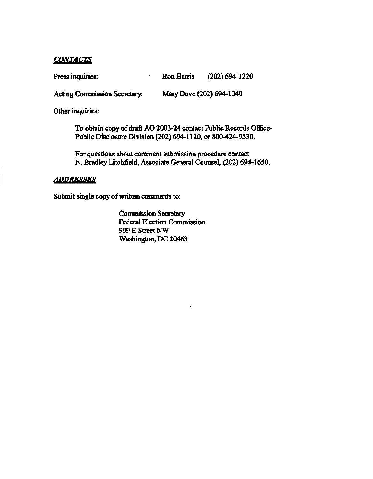## *CONTACTS*

**Press inquiries: Ron Harris (202)694-1220** 

**Acting Commission Secretary: Mary Dove (202) 694-1040** 

**Other inquiries:** 

**To obtain copy of draft AO 2003-24 contact Public Records Office-Public Disclosure Division (202) 694-1120, or 800-424-9530.** 

**For questions about comment submission procedure contact N. Bradley Litchfield, Associate General Counsel, (202) 694-1650.** 

# *ADDRESSES*

**Submit single copy of written comments to:** 

**Commission Secretary Federal Election Commission 999 E Street NW Washington, DC 20463**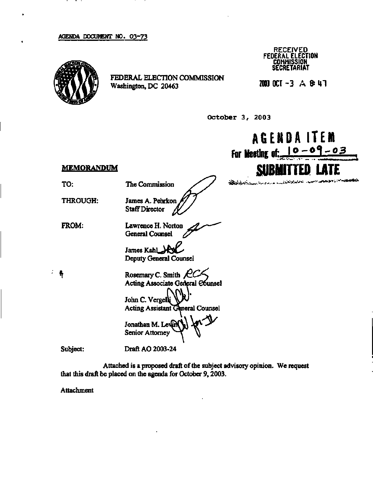#### **AGENDA DOCUMENT ND. Q3~73**



**FEDERAL ELECTION COMMISSION Washington, DC 20463** 

**RECEIVED FEDERAL ELECTION COMMISSION SECRETARIAT** 

**2003 OCT - 3 A & U l** 

**October 3, 2003** 

**AGENDA ITEM For Meeting of:, l°- 0 < \-° ^ SUBMITTED LATE MEMORANDUM**  فاصر ومنيان المحاورة والأولين Burnan **The Commission THROUGH:**  James A. Pehrkon **Staff Director Lawrence H. Norton General Counsel James Kahl Deputy General Counsel Rosemary C. Smith Acting Associate General Counsel**  John C. Vergelk Acting Assistant General Counsel **Jonathan M. Lewin Senior Attorney** 

**Subject:** 

**Draft AO 2003-24** 

**Attached is a proposed draft of the subject advisory opinion. We request that this draft be placed on the agenda for October 9,2003.** 

**Attachment** 

**FROM:** 

÷ ₩

**TO:**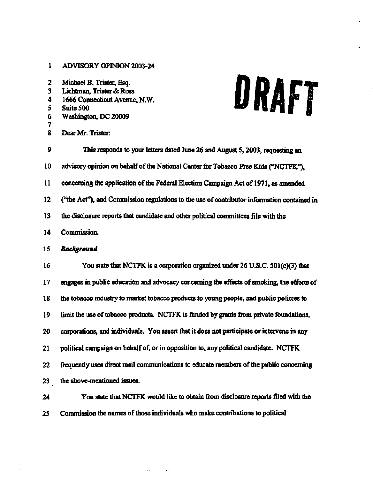## **1 ADVISORY OPINION 2003-24**

| 2<br>3<br>4<br>5<br>6<br>7<br>8 | Michael B. Trister, Esq.<br>URAFT<br>Lichtman, Trister & Ross<br>1666 Connecticut Avenue, N.W.<br>Suite 500<br>Washington, DC 20009<br>Dear Mr. Trister: |
|---------------------------------|----------------------------------------------------------------------------------------------------------------------------------------------------------|
| 9                               | This responds to your letters dated June 26 and August 5, 2003, requesting an                                                                            |
| 10                              | advisory opinion on behalf of the National Center for Tobacco-Free Kids ("NCTFK").                                                                       |
| 11                              | concerning the application of the Federal Election Campaign Act of 1971, as amended                                                                      |
| 12                              | ("the Act"), and Commission regulations to the use of contributor information contained in                                                               |
| 13                              | the disclosure reports that candidate and other political committees file with the                                                                       |
| 14                              | Commission.                                                                                                                                              |
| 15                              | Background                                                                                                                                               |
| 16                              | You state that NCTFK is a corporation organized under 26 U.S.C. 501(c)(3) that                                                                           |
| 17                              | engages in public education and advocacy concerning the effects of smoking, the efforts of                                                               |
| 18                              | the tobacco industry to market tobacco products to young people, and public policies to                                                                  |
| 19                              | limit the use of tobacco products. NCTFK is funded by grants from private foundations,                                                                   |
| 20                              | corporations, and individuals. You assert that it does not participate or intervene in any                                                               |
| 21                              | political campaign on behalf of, or in opposition to, any political candidate. NCTFK                                                                     |
| 22                              | frequently uses direct mail communications to educate members of the public concerning                                                                   |
| 23                              | the above-mentioned issues.                                                                                                                              |
| 24                              | You state that NCTFK would like to obtain from disclosure reports filed with the                                                                         |

÷

**25 Commission the names of those individuals who make contributions to political** 

 $\alpha$  ,  $\beta$  ,  $\beta$  ,  $\alpha$ 

 $\bar{\bar{z}}$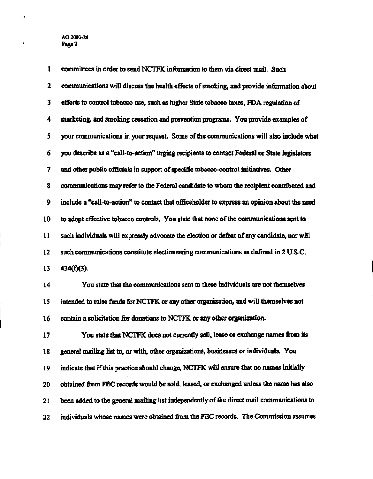**1 committees in order to send NCTFK information to them via direct mail. Such 2 communications will discuss the health effects of smoking, and provide information about 3 efforts to control tobacco use, such as higher State tobacco taxes, FDA regulation of 4 marketing, and smoking cessation and prevention programs. You provide examples of 5 your communications in your request. Some of the commumcations will also include what 6 you describe as a "call-to-action" urging recipients to contact Federal or State legislators 7 and other public officials in support of specific tobacco-control initiatives. Other 8 communications may refer to the Federal candidate to whom the recipient contributed and 9 include a "call-to-action" to contact that officeholder to express an opinion about the need 10 to adopt effective tobacco controls. You state that none of the communications sent to 11 such individuals will expressly advocate the election or defeat of any candidate, nor will 12 such communications constitute electioneering communications as defined in 2 U.S.C. 13 434(f)(3). 14 You state that the communications sent to these individuals are not themselves 15 intended to raise funds for NCTFK or any other organization, and will themselves not 16 contain a solicitation for donations to NCTFK or any other organization. 17 You state that NCTFK does not currently sell, lease or exchange names from its 18 general mailing list to, or with, other organizations, businesses or individuals. You 19 indicate that if this practice should change, NCTFK will ensure that no names initially 20 obtained from FEC records would be sold, leased, or exchanged unless the name has also 21 been added to the general mailing list independently of the direct mail communications to 22 individuals whose names were obtained from the FEC records. The Commission assumes**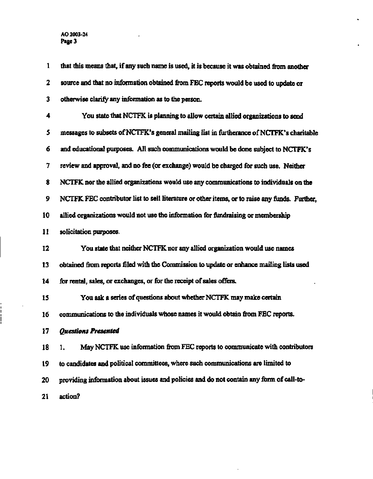$\frac{1}{1}$ 

 $\hat{\mathcal{A}}$ 

l,

| $\mathbf{1}$ | that this means that, if any such name is used, it is because it was obtained from another    |
|--------------|-----------------------------------------------------------------------------------------------|
| 2            | source and that no information obtained from FEC reports would be used to update or           |
| 3            | otherwise clarify any information as to the person.                                           |
| 4            | You state that NCTFK is planning to allow certain allied organizations to send                |
| 5            | messages to subsets of NCTFK's general mailing list in furtherance of NCTFK's charitable      |
| 6            | and educational purposes. All such communications would be done subject to NCTFK's            |
| 7            | review and approval, and no fee (or exchange) would be charged for such use. Neither          |
| 8            | NCTFK nor the allied organizations would use any communications to individuals on the         |
| 9            | NCTFK FEC contributor list to sell literature or other items, or to raise any funds. Further, |
| 10           | allied organizations would not use the information for fundraising or membership              |
| 11           | solicitation purposes.                                                                        |
| 12           | You state that neither NCTFK nor any allied organization would use names                      |
| 13           | obtained from reports filed with the Commission to update or enhance mailing lists used       |
| 14           | for rental, sales, or exchanges, or for the receipt of sales offers.                          |
| 15           | You ask a series of questions about whether NCTFK may make certain                            |
| 16           | communications to the individuals whose names it would obtain from FEC reports.               |
| 17           | Questions Presented                                                                           |
| 18           | May NCTFK use information from FEC reports to communicate with contributors<br>1.             |
| 19           | to candidates and political committees, where such communications are limited to              |
| 20           | providing information about issues and policies and do not contain any form of call-to-       |
| 21           | action?                                                                                       |

 $\mathcal{L}^{\pm}$ 

 $\bullet$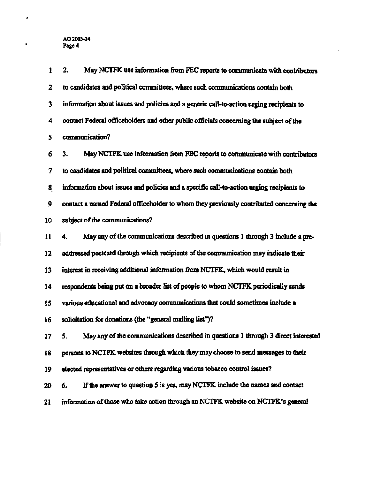**1 2. May NCTFK use information from FEC reports to communicate with contributors 2 to candidates and political committees, where such communications contain both 3 information about issues and policies and a generic call-to-action urging recipients to 4 contact Federal officeholders and other public officials concerning the subject of the 5 communication? 6 3. May NCTFK use information from FEC reports to communicate with contributors 7 to candidates and political committees, where such communications contain both 8 information about issues and policies and a specific call-to-action urging recipients to 9 contact a named Federal officeholder to whom they previously contributed concerning the 10 subject of the communications? 11 4. May any of the communications described in questions 1 through 3 include a pre-12 addressed postcard through which recipients of the communication may indicate their 13 interest in receiving additional information from NCTFK, which would result in 14 respondents being put on a broader list of people to whom NCTFK periodically sends 15 various educational and advocacy communications that could sometimes include a 16 solicitation for donations (the "general mailing list")? 17 5. May any of the communications described in questions 1 through 3 direct interested 18 persons to NCTFK websites through which they may choose to send messages to their 19 elected representatives or others regarding various tobacco control issues? 20 6. If the answer to question 5 is yes, may NCTFK include the names and contact 21 information of those who take action through an NCTFK website on NCTFK's general**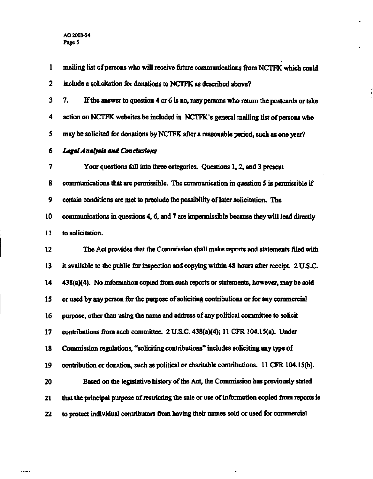**1 mailing list of persons who will receive future communications from NCTFK which could 2 include a solicitation for donations to NCTFK as described above? 3 7. If the answer to question 4 or 6 is no, may persons who return the postcards or take 4 action on NCTFK websites be included in NCTFK's general mailing list of persons who 5 may be solicited for donations by NCTFK after a reasonable period, such as one year? 6** *Legal Analysis and Conclusions*  **7 Your questions fall into three categories. Questions 1,2, and 3 present 8 communications that are permissible. The communication in question 5 is permissible if 9 certain conditions are met to preclude the possibility of later solicitation. The 10 communications in questions 4,6, and 7 are impermissible because they will lead directly 11 to solicitation. 12 The Act provides that the Commission shall make reports and statements filed with 13 it available to the public for inspection and copying within 48 hours after receipt. 2 U.S.C. 14 438(a)(4). No information copied from such reports or statements, however, may be sold 15 or used by any person for the purpose of soliciting contributions or for any commercial 16 purpose, other than using the name and address of any political committee to solicit 17** contributions from such committee. 2 U.S.C. 438(a)(4); 11 CFR 104.15(a). Under **18 Commission regulations, "soliciting contributions" includes soliciting any type of 19 contribution or donation, such as political or charitable contributions. 11 CFR 104.15(b). 20 Based on the legislative history of the Act, the Commission has previously stated 21 that the principal purpose of restricting the sale or use of information copied from reports is 22 to protect individual contributors from having their names sold or used for commercial** 

٠.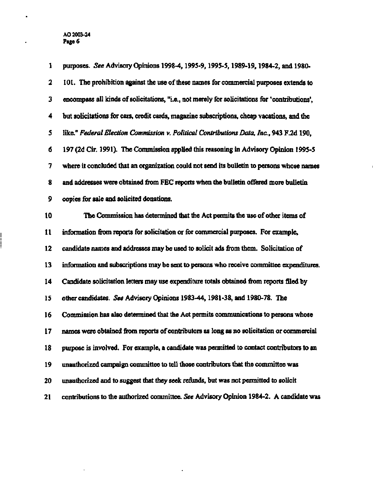$\mathcal{A}^{\pm}$ 

fi

 $\bullet$ 

| 1  | purposes. See Advisory Opinions 1998-4, 1995-9, 1995-5, 1989-19, 1984-2, and 1980-             |
|----|------------------------------------------------------------------------------------------------|
| 2  | 101. The prohibition against the use of these names for commercial purposes extends to         |
| 3  | encompass all kinds of solicitations, "i.e., not merely for solicitations for 'contributions', |
| 4  | but solicitations for cars, credit cards, magazine subscriptions, cheap vacations, and the     |
| 5  | like." Federal Election Commission v. Political Contributions Data, Inc., 943 F.2d 190,        |
| 6  | 197 (2d Cir. 1991). The Commission applied this reasoning in Advisory Opinion 1995-5           |
| 7  | where it concluded that an organization could not send its builetin to persons whose names     |
| 8  | and addresses were obtained from FEC reports when the bulletin offered more bulletin           |
| 9  | copies for sale and solicited donations.                                                       |
| 10 | The Commission has determined that the Act permits the use of other items of                   |
| 11 | information from reports for solicitation or for commercial purposes. For example,             |
| 12 | candidate names and addresses may be used to solicit ads from them. Solicitation of            |
| 13 | information and subscriptions may be sent to persons who receive committee expenditures.       |
| 14 | Candidate solicitation letters may use expenditure totals obtained from reports filed by       |
| 15 | other candidates. See Advisory Opinions 1983-44, 1981-38, and 1980-78. The                     |
| 16 | Commission has also determined that the Act permits communications to persons whose            |
| 17 | names were obtained from reports of contributors as long as no solicitation or commercial      |
| 18 | purpose is involved. For example, a candidate was permitted to contact contributors to an      |
| 19 | unauthorized campaign committee to tell those contributors that the committee was              |
| 20 | unauthorized and to suggest that they seek refunds, but was not permitted to solicit           |
| 21 | contributions to the authorized committee. See Advisory Opinion 1984-2. A candidate was        |

 $\sim 10^7$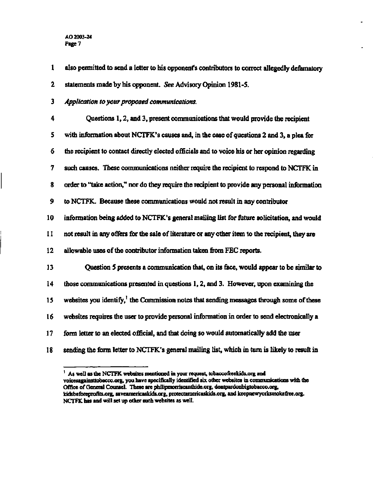#### **AO 2003-24 Page 7**

- **1 also permitted to send a letter to his opponent's contributors to correct allegedly defamatory 2 statements made by his opponent.** *See* **Advisory Opinion 1981-5.**
- **3** *Application to your proposed communications.*

| 5<br>with information about NCTFK's causes and, in the case of questions 2 and 3, a plea for<br>the recipient to contact directly elected officials and to voice his or her opinion regarding<br>6 |  |
|----------------------------------------------------------------------------------------------------------------------------------------------------------------------------------------------------|--|
|                                                                                                                                                                                                    |  |
|                                                                                                                                                                                                    |  |
| 7<br>such causes. These communications neither require the recipient to respond to NCTFK in                                                                                                        |  |
| order to "take action," nor do they require the recipient to provide any personal information<br>8                                                                                                 |  |
| 9<br>to NCTFK. Because these communications would not result in any contributor                                                                                                                    |  |
| 10<br>information being added to NCTFK's general mailing list for future solicitation, and would                                                                                                   |  |
| 11<br>not result in any offers for the sale of literature or any other item to the recipient, they are                                                                                             |  |
| 12<br>allowable uses of the contributor information taken from FEC reports.                                                                                                                        |  |
| Question 5 presents a communication that, on its face, would appear to be similar to<br>13                                                                                                         |  |
| 14<br>those communications presented in questions 1, 2, and 3. However, upon examining the                                                                                                         |  |
| websites you identify, <sup><math>1</math></sup> the Commission notes that sending messages through some of these<br>15                                                                            |  |
| websites requires the user to provide personal information in order to send electronically a<br>16                                                                                                 |  |
| 17<br>form letter to an elected official, and that doing so would automatically add the user                                                                                                       |  |
| sending the form letter to NCTFK's general mailing list, which in turn is likely to result in<br>18                                                                                                |  |

**<sup>1</sup> As well as the NCTFK websites mentioned in your Tequest, [tobaccofreekids.org](http://tobaccofreekids.org) and [voicesagainsttobacco.org,](http://voicesagainsttobacco.org) you have specifically identified six other websites in communications with die Office of General Counsel. These are [philipmorriscanthide.org,](http://philipmorriscanthide.org) [dontpardonbigtobacco.org,](http://dontpardonbigtobacco.org)  [kidsbeforeprofits.org,](http://kidsbeforeprofits.org) [saveamericaskids.org,](http://saveamericaskids.org) [protectamericaskids.org,](http://protectamericaskids.org) and [keepnewyorksmokefree.org.](http://keepnewyorksmokefree.org) NCTFK has and will set up other such websites as well.**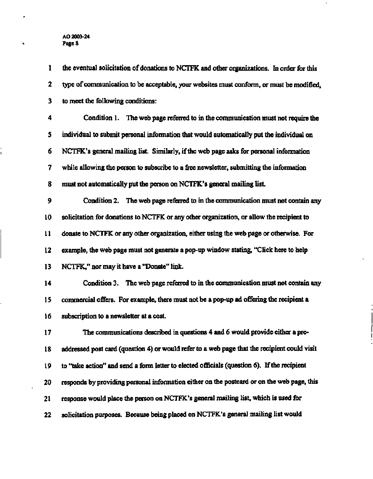**1 the eventual solicitation of donations to NCTFK and other organizations. In order for this 2 type of communication to be acceptable, your websites must conform, or must be modified, 3 to meet the following conditions: 4 Condition 1. The web page referred to in the communication must not require the 5 individual to submit personal information that would automatically put the individual on 6 NCTFK's general mailing list. Similarly, if the web page asks for personal information 7 while allowing the person to subscribe to a free newsletter, submitting the information 8 must not automatically put the person on NCTFK's general mailing list. 9 Condition 2. The web page referred to in the communication must not contain any 10 solicitation for donations to NCTFK or any other organization, or allow the recipient to 11 donate to NCTFK or any other organization, either using the web page or otherwise. For 12 example, the web page must not generate a pop-up window stating, "Click here to help 13 NCTFK," nor may it have a "Donate" link. 14 Condition 3. The web page referred to in the communication must not contain any 15 commercial offers. For example, there must not be a pop-up ad offering the recipient a 16 subscription to a newsletter at a cost. 17 The communications described in questions 4 and 6 would provide either a pre-18 addressed post card (question 4) or would refer to a web page that the recipient could visit 19 to "take action" and send a form letter to elected officials (question 6). If the recipient 20 responds by providing personal information either on the postcard or on the web page, this 21 response would place the person on NCTFK's general mailing list, which is used for 22 solicitation purposes. Because being placed on NCTFK's general mailing list would**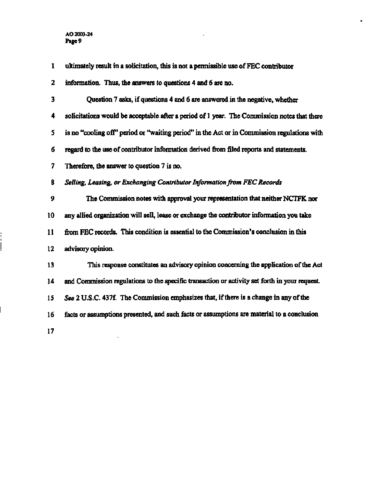| 1  | ultimately result in a solicitation, this is not a permissible use of FEC contributor         |
|----|-----------------------------------------------------------------------------------------------|
| 2  | information. Thus, the answers to questions 4 and 6 are no.                                   |
| 3  | Question 7 asks, if questions 4 and 6 are answered in the negative, whether                   |
| 4  | solicitations would be acceptable after a period of 1 year. The Commission notes that there   |
| 5  | is no "cooling off" period or "waiting period" in the Act or in Commission regulations with   |
| 6  | regard to the use of contributor information derived from filed reports and statements.       |
| 7  | Therefore, the answer to question 7 is no.                                                    |
| 8  | Selling, Leasing, or Exchanging Contributor Information from FEC Records                      |
| 9  | The Commission notes with approval your representation that neither NCTFK nor                 |
| 10 | any allied organization will sell, lease or exchange the contributor information you take     |
| 11 | from FEC records. This condition is essential to the Commission's conclusion in this          |
| 12 | advisory opinion.                                                                             |
| 13 | This response constitutes an advisory opinion concerning the application of the Act           |
| 14 | and Commission regulations to the specific transaction or activity set forth in your request. |
| 15 | See 2 U.S.C. 437f. The Commission emphasizes that, if there is a change in any of the         |
| 16 | facts or assumptions presented, and such facts or assumptions are material to a conclusion    |
| 17 |                                                                                               |

 $\mathbf{v}$ 

٠

 $\vdots$ 

ĺ